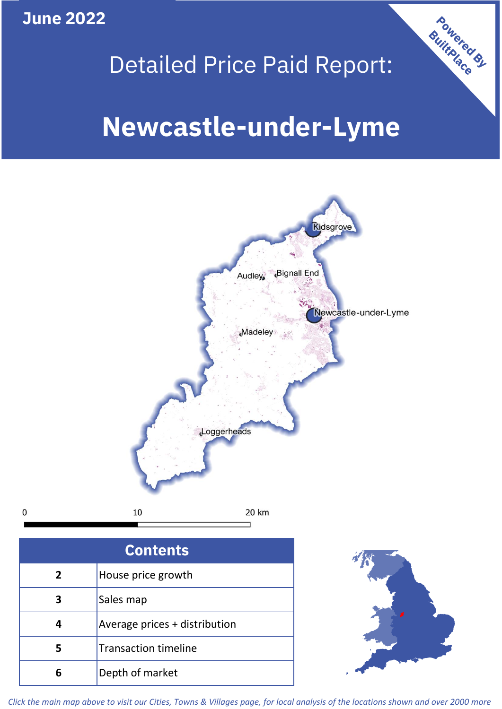**June 2022**

**5**

**4**

# Detailed Price Paid Report:

Powered By

# **Newcastle-under-Lyme**



*Click the main map above to visit our Cities, Towns & Villages page, for local analysis of the locations shown and over 2000 more*

Average prices + distribution

Transaction timeline

**6** Depth of market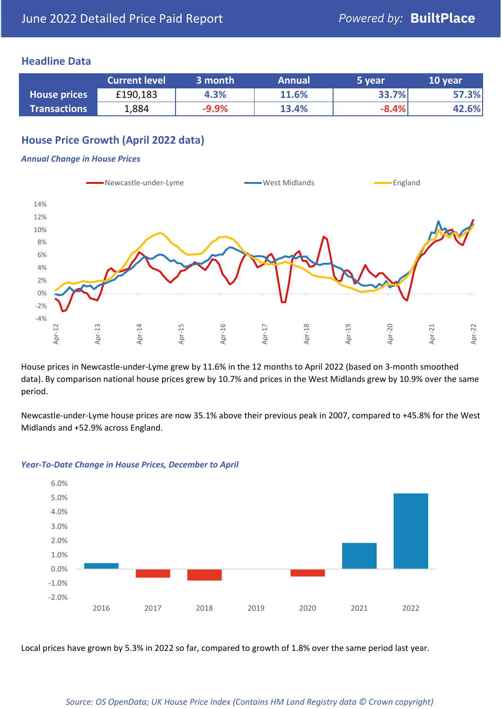### **Headline Data**

|                     | <b>Current level</b> | 3 month | <b>Annual</b> | 5 year  | 10 year |
|---------------------|----------------------|---------|---------------|---------|---------|
| <b>House prices</b> | £190,183             | 4.3%    | 11.6%         | 33.7%   | 57.3%   |
| <b>Transactions</b> | 1,884                | $-9.9%$ | 13.4%         | $-8.4%$ | 42.6%   |

## **House Price Growth (April 2022 data)**

#### *Annual Change in House Prices*



House prices in Newcastle-under-Lyme grew by 11.6% in the 12 months to April 2022 (based on 3-month smoothed data). By comparison national house prices grew by 10.7% and prices in the West Midlands grew by 10.9% over the same period.

Newcastle-under-Lyme house prices are now 35.1% above their previous peak in 2007, compared to +45.8% for the West Midlands and +52.9% across England.



#### *Year-To-Date Change in House Prices, December to April*

Local prices have grown by 5.3% in 2022 so far, compared to growth of 1.8% over the same period last year.

#### *Source: OS OpenData; UK House Price Index (Contains HM Land Registry data © Crown copyright)*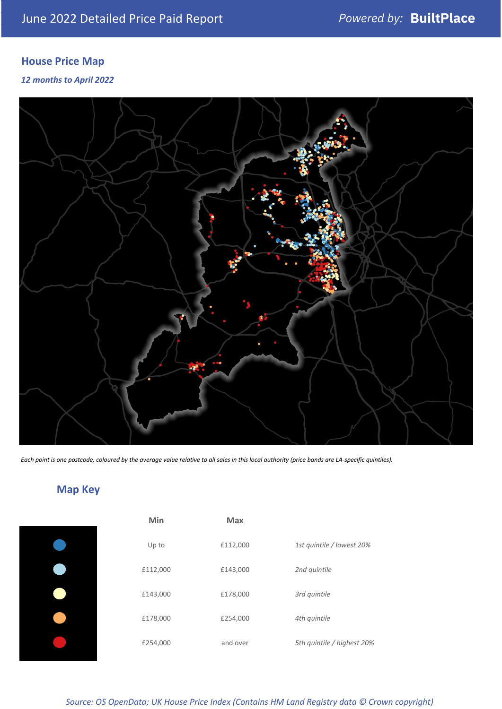# **House Price Map**

### *12 months to April 2022*



*Each point is one postcode, coloured by the average value relative to all sales in this local authority (price bands are LA-specific quintiles).*

# **Map Key**

| Min      | Max      |                            |
|----------|----------|----------------------------|
| Up to    | £112,000 | 1st quintile / lowest 20%  |
| £112,000 | £143,000 | 2nd quintile               |
| £143,000 | £178,000 | 3rd quintile               |
| £178,000 | £254,000 | 4th quintile               |
| £254,000 | and over | 5th quintile / highest 20% |
|          |          |                            |

## *Source: OS OpenData; UK House Price Index (Contains HM Land Registry data © Crown copyright)*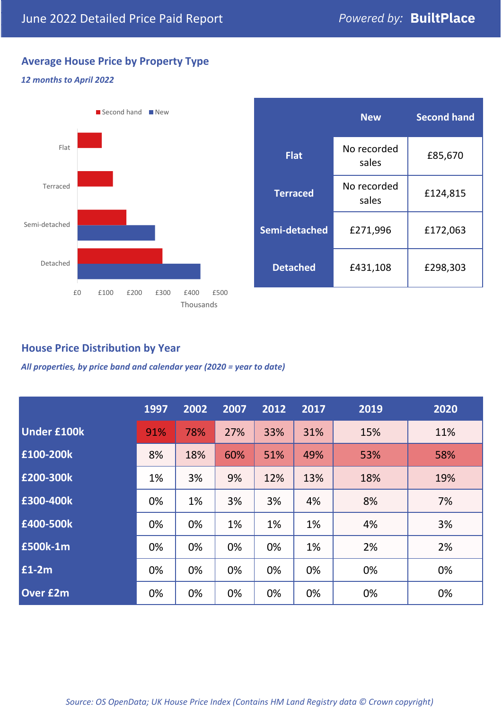## **Average House Price by Property Type**

#### *12 months to April 2022*



|                 | <b>New</b>           | <b>Second hand</b> |  |
|-----------------|----------------------|--------------------|--|
| <b>Flat</b>     | No recorded<br>sales | £85,670            |  |
| <b>Terraced</b> | No recorded<br>sales | £124,815           |  |
| Semi-detached   | £271,996             | £172,063           |  |
| <b>Detached</b> | £431,108             | £298,303           |  |

## **House Price Distribution by Year**

*All properties, by price band and calendar year (2020 = year to date)*

|                    | 1997 | 2002 | 2007 | 2012 | 2017 | 2019 | 2020 |
|--------------------|------|------|------|------|------|------|------|
| <b>Under £100k</b> | 91%  | 78%  | 27%  | 33%  | 31%  | 15%  | 11%  |
| £100-200k          | 8%   | 18%  | 60%  | 51%  | 49%  | 53%  | 58%  |
| E200-300k          | 1%   | 3%   | 9%   | 12%  | 13%  | 18%  | 19%  |
| £300-400k          | 0%   | 1%   | 3%   | 3%   | 4%   | 8%   | 7%   |
| £400-500k          | 0%   | 0%   | 1%   | 1%   | 1%   | 4%   | 3%   |
| <b>£500k-1m</b>    | 0%   | 0%   | 0%   | 0%   | 1%   | 2%   | 2%   |
| £1-2m              | 0%   | 0%   | 0%   | 0%   | 0%   | 0%   | 0%   |
| <b>Over £2m</b>    | 0%   | 0%   | 0%   | 0%   | 0%   | 0%   | 0%   |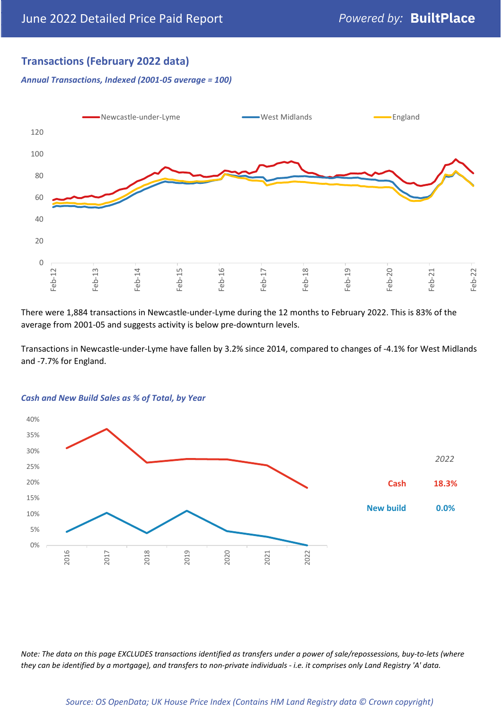## **Transactions (February 2022 data)**

*Annual Transactions, Indexed (2001-05 average = 100)*



There were 1,884 transactions in Newcastle-under-Lyme during the 12 months to February 2022. This is 83% of the average from 2001-05 and suggests activity is below pre-downturn levels.

Transactions in Newcastle-under-Lyme have fallen by 3.2% since 2014, compared to changes of -4.1% for West Midlands and -7.7% for England.



#### *Cash and New Build Sales as % of Total, by Year*

*Note: The data on this page EXCLUDES transactions identified as transfers under a power of sale/repossessions, buy-to-lets (where they can be identified by a mortgage), and transfers to non-private individuals - i.e. it comprises only Land Registry 'A' data.*